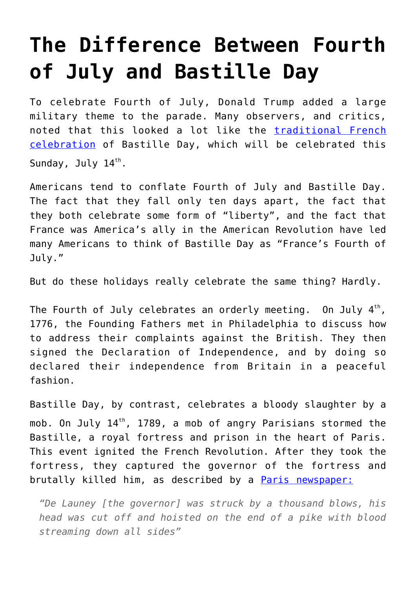## **[The Difference Between Fourth](https://intellectualtakeout.org/2019/07/the-difference-between-fourth-of-july-and-bastille-day/) [of July and Bastille Day](https://intellectualtakeout.org/2019/07/the-difference-between-fourth-of-july-and-bastille-day/)**

To celebrate Fourth of July, Donald Trump added a large military theme to the parade. Many observers, and critics, noted that this looked a lot like the [traditional French](https://www.washingtonpost.com/outlook/2019/07/03/trumps-fourth-july-is-bad-imitation-bastille-day/?utm_term=.45667a0d93d5) [celebration](https://www.washingtonpost.com/outlook/2019/07/03/trumps-fourth-july-is-bad-imitation-bastille-day/?utm_term=.45667a0d93d5) of Bastille Day, which will be celebrated this Sunday, July  $14^{\text{th}}$ .

Americans tend to conflate Fourth of July and Bastille Day. The fact that they fall only ten days apart, the fact that they both celebrate some form of "liberty", and the fact that France was America's ally in the American Revolution have led many Americans to think of Bastille Day as "France's Fourth of July."

But do these holidays really celebrate the same thing? Hardly.

The Fourth of July celebrates an orderly meeting.  $0$ n July 4 $^{\rm th}$ , 1776, the Founding Fathers met in Philadelphia to discuss how to address their complaints against the British. They then signed the Declaration of Independence, and by doing so declared their independence from Britain in a peaceful fashion.

Bastille Day, by contrast, celebrates a bloody slaughter by a mob. On July  $14<sup>th</sup>$ , 1789, a mob of angry Parisians stormed the Bastille, a royal fortress and prison in the heart of Paris. This event ignited the French Revolution. After they took the fortress, they captured the governor of the fortress and brutally killed him, as described by a [Paris newspaper:](https://alphahistory.com/frenchrevolution/paris-newspaper-storming-of-the-bastille-1789/)

*"De Launey [the governor] was struck by a thousand blows, his head was cut off and hoisted on the end of a pike with blood streaming down all sides"*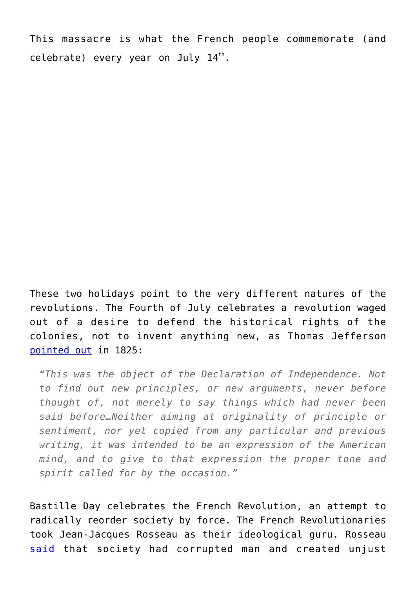This massacre is what the French people commemorate (and celebrate) every year on July  $14^{th}$ .

These two holidays point to the very different natures of the revolutions. The Fourth of July celebrates a revolution waged out of a desire to defend the historical rights of the colonies, not to invent anything new, as Thomas Jefferson [pointed out](https://www.awesomestories.com/asset/view/WRITING-the-DECLARATION-Thomas-Jefferson) in 1825:

*"This was the object of the Declaration of Independence. Not to find out new principles, or new arguments, never before thought of, not merely to say things which had never been said before…Neither aiming at originality of principle or sentiment, nor yet copied from any particular and previous writing, it was intended to be an expression of the American mind, and to give to that expression the proper tone and spirit called for by the occasion."*

Bastille Day celebrates the French Revolution, an attempt to radically reorder society by force. The French Revolutionaries took Jean-Jacques Rosseau as their ideological guru. Rosseau [said](https://www.philosophybasics.com/philosophers_rousseau.html) that society had corrupted man and created unjust